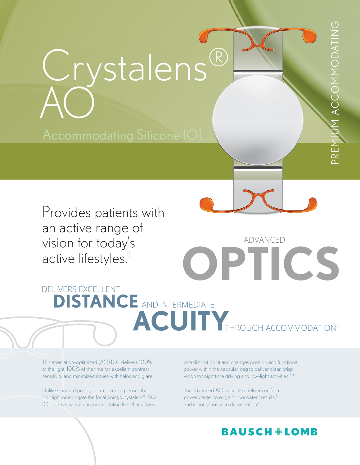

Provides patients with an active range of vision for today's active lifestyles.<sup>1</sup>

**OPTICS** DELIVERS EXCELLENT **DISTANCE** AND INTERMEDIATE ACUITY THROUGH ACCOMMODATION<sup>1</sup>

This aberration-optimized (AO) IOL delivers 100% of the light, 100% of the time for excellent contrast sensitivity and minimized issues with halos and glare. $2$ 

Unlike standard presbyopia-correcting lenses that split light or elongate the focal point, Crystalens® AO IOL is an advanced accommodating lens that utilizes

one distinct point and changes position and functional power within the capsular bag to deliver clear, crisp vision for nighttime driving and low-light activities.<sup>3,4</sup>

The advanced AO optic also delivers uniform power center to edge for consistent results,<sup>5</sup> and is not sensitive to decentration.<sup>6</sup>

# **BAUSCH+LOMB**

ADVANCED